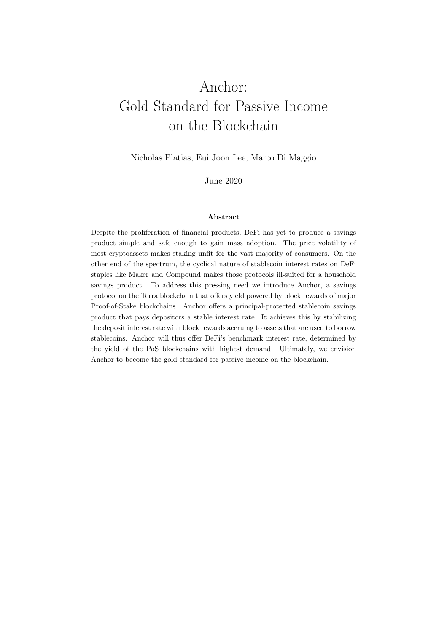# Anchor: Gold Standard for Passive Income on the Blockchain

Nicholas Platias, Eui Joon Lee, Marco Di Maggio

June 2020

#### Abstract

Despite the proliferation of financial products, DeFi has yet to produce a savings product simple and safe enough to gain mass adoption. The price volatility of most cryptoassets makes staking unfit for the vast majority of consumers. On the other end of the spectrum, the cyclical nature of stablecoin interest rates on DeFi staples like Maker and Compound makes those protocols ill-suited for a household savings product. To address this pressing need we introduce Anchor, a savings protocol on the Terra blockchain that offers yield powered by block rewards of major Proof-of-Stake blockchains. Anchor offers a principal-protected stablecoin savings product that pays depositors a stable interest rate. It achieves this by stabilizing the deposit interest rate with block rewards accruing to assets that are used to borrow stablecoins. Anchor will thus offer DeFi's benchmark interest rate, determined by the yield of the PoS blockchains with highest demand. Ultimately, we envision Anchor to become the gold standard for passive income on the blockchain.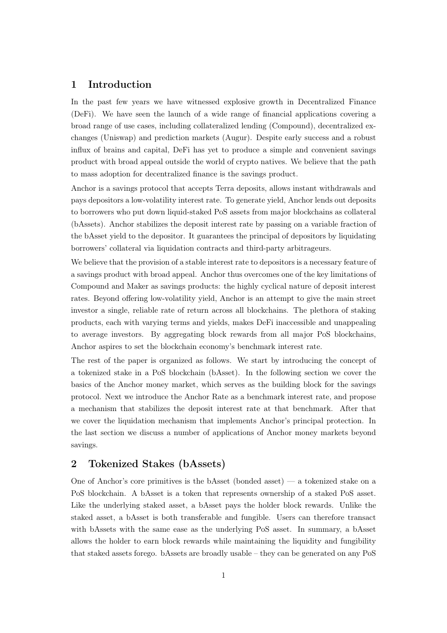# 1 Introduction

In the past few years we have witnessed explosive growth in Decentralized Finance (DeFi). We have seen the launch of a wide range of financial applications covering a broad range of use cases, including collateralized lending (Compound), decentralized exchanges (Uniswap) and prediction markets (Augur). Despite early success and a robust influx of brains and capital, DeFi has yet to produce a simple and convenient savings product with broad appeal outside the world of crypto natives. We believe that the path to mass adoption for decentralized finance is the savings product.

Anchor is a savings protocol that accepts Terra deposits, allows instant withdrawals and pays depositors a low-volatility interest rate. To generate yield, Anchor lends out deposits to borrowers who put down liquid-staked PoS assets from major blockchains as collateral (bAssets). Anchor stabilizes the deposit interest rate by passing on a variable fraction of the bAsset yield to the depositor. It guarantees the principal of depositors by liquidating borrowers' collateral via liquidation contracts and third-party arbitrageurs.

We believe that the provision of a stable interest rate to depositors is a necessary feature of a savings product with broad appeal. Anchor thus overcomes one of the key limitations of Compound and Maker as savings products: the highly cyclical nature of deposit interest rates. Beyond offering low-volatility yield, Anchor is an attempt to give the main street investor a single, reliable rate of return across all blockchains. The plethora of staking products, each with varying terms and yields, makes DeFi inaccessible and unappealing to average investors. By aggregating block rewards from all major PoS blockchains, Anchor aspires to set the blockchain economy's benchmark interest rate.

The rest of the paper is organized as follows. We start by introducing the concept of a tokenized stake in a PoS blockchain (bAsset). In the following section we cover the basics of the Anchor money market, which serves as the building block for the savings protocol. Next we introduce the Anchor Rate as a benchmark interest rate, and propose a mechanism that stabilizes the deposit interest rate at that benchmark. After that we cover the liquidation mechanism that implements Anchor's principal protection. In the last section we discuss a number of applications of Anchor money markets beyond savings.

# 2 Tokenized Stakes (bAssets)

One of Anchor's core primitives is the bAsset (bonded asset) — a tokenized stake on a PoS blockchain. A bAsset is a token that represents ownership of a staked PoS asset. Like the underlying staked asset, a bAsset pays the holder block rewards. Unlike the staked asset, a bAsset is both transferable and fungible. Users can therefore transact with bAssets with the same ease as the underlying PoS asset. In summary, a bAsset allows the holder to earn block rewards while maintaining the liquidity and fungibility that staked assets forego. bAssets are broadly usable – they can be generated on any PoS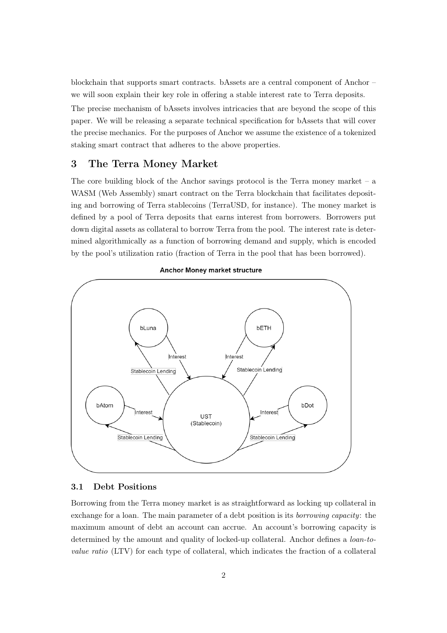blockchain that supports smart contracts. bAssets are a central component of Anchor – we will soon explain their key role in offering a stable interest rate to Terra deposits.

The precise mechanism of bAssets involves intricacies that are beyond the scope of this paper. We will be releasing a separate technical specification for bAssets that will cover the precise mechanics. For the purposes of Anchor we assume the existence of a tokenized staking smart contract that adheres to the above properties.

# 3 The Terra Money Market

The core building block of the Anchor savings protocol is the Terra money market  $-$  a WASM (Web Assembly) smart contract on the Terra blockchain that facilitates depositing and borrowing of Terra stablecoins (TerraUSD, for instance). The money market is defined by a pool of Terra deposits that earns interest from borrowers. Borrowers put down digital assets as collateral to borrow Terra from the pool. The interest rate is determined algorithmically as a function of borrowing demand and supply, which is encoded by the pool's utilization ratio (fraction of Terra in the pool that has been borrowed).



#### **Anchor Money market structure**

#### 3.1 Debt Positions

Borrowing from the Terra money market is as straightforward as locking up collateral in exchange for a loan. The main parameter of a debt position is its *borrowing capacity*: the maximum amount of debt an account can accrue. An account's borrowing capacity is determined by the amount and quality of locked-up collateral. Anchor defines a *loan-tovalue ratio* (LTV) for each type of collateral, which indicates the fraction of a collateral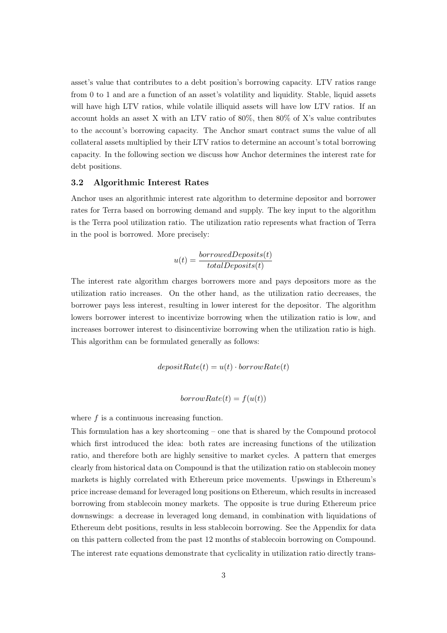asset's value that contributes to a debt position's borrowing capacity. LTV ratios range from 0 to 1 and are a function of an asset's volatility and liquidity. Stable, liquid assets will have high LTV ratios, while volatile illiquid assets will have low LTV ratios. If an account holds an asset X with an LTV ratio of 80%, then 80% of X's value contributes to the account's borrowing capacity. The Anchor smart contract sums the value of all collateral assets multiplied by their LTV ratios to determine an account's total borrowing capacity. In the following section we discuss how Anchor determines the interest rate for debt positions.

#### 3.2 Algorithmic Interest Rates

Anchor uses an algorithmic interest rate algorithm to determine depositor and borrower rates for Terra based on borrowing demand and supply. The key input to the algorithm is the Terra pool utilization ratio. The utilization ratio represents what fraction of Terra in the pool is borrowed. More precisely:

$$
u(t) = \frac{borrowedDeposits(t)}{totalDeposits(t)}
$$

The interest rate algorithm charges borrowers more and pays depositors more as the utilization ratio increases. On the other hand, as the utilization ratio decreases, the borrower pays less interest, resulting in lower interest for the depositor. The algorithm lowers borrower interest to incentivize borrowing when the utilization ratio is low, and increases borrower interest to disincentivize borrowing when the utilization ratio is high. This algorithm can be formulated generally as follows:

$$
depositRate(t)=u(t)\cdot borrowRate(t)
$$

 $borrowRate(t) = f(u(t))$ 

where  $f$  is a continuous increasing function.

This formulation has a key shortcoming – one that is shared by the Compound protocol which first introduced the idea: both rates are increasing functions of the utilization ratio, and therefore both are highly sensitive to market cycles. A pattern that emerges clearly from historical data on Compound is that the utilization ratio on stablecoin money markets is highly correlated with Ethereum price movements. Upswings in Ethereum's price increase demand for leveraged long positions on Ethereum, which results in increased borrowing from stablecoin money markets. The opposite is true during Ethereum price downswings: a decrease in leveraged long demand, in combination with liquidations of Ethereum debt positions, results in less stablecoin borrowing. See the Appendix for data on this pattern collected from the past 12 months of stablecoin borrowing on Compound. The interest rate equations demonstrate that cyclicality in utilization ratio directly trans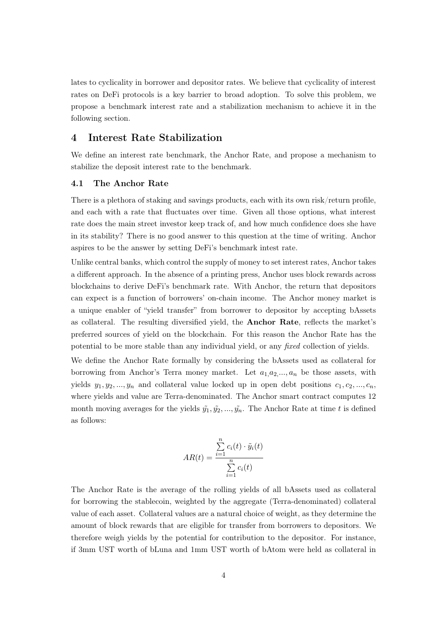lates to cyclicality in borrower and depositor rates. We believe that cyclicality of interest rates on DeFi protocols is a key barrier to broad adoption. To solve this problem, we propose a benchmark interest rate and a stabilization mechanism to achieve it in the following section.

# 4 Interest Rate Stabilization

We define an interest rate benchmark, the Anchor Rate, and propose a mechanism to stabilize the deposit interest rate to the benchmark.

#### 4.1 The Anchor Rate

There is a plethora of staking and savings products, each with its own risk/return profile, and each with a rate that fluctuates over time. Given all those options, what interest rate does the main street investor keep track of, and how much confidence does she have in its stability? There is no good answer to this question at the time of writing. Anchor aspires to be the answer by setting DeFi's benchmark intest rate.

Unlike central banks, which control the supply of money to set interest rates, Anchor takes a different approach. In the absence of a printing press, Anchor uses block rewards across blockchains to derive DeFi's benchmark rate. With Anchor, the return that depositors can expect is a function of borrowers' on-chain income. The Anchor money market is a unique enabler of "yield transfer" from borrower to depositor by accepting bAssets as collateral. The resulting diversified yield, the Anchor Rate, reflects the market's preferred sources of yield on the blockchain. For this reason the Anchor Rate has the potential to be more stable than any individual yield, or any *fixed* collection of yields.

We define the Anchor Rate formally by considering the bAssets used as collateral for borrowing from Anchor's Terra money market. Let *a*1*,a*2*,..., a<sup>n</sup>* be those assets, with yields  $y_1, y_2, \ldots, y_n$  and collateral value locked up in open debt positions  $c_1, c_2, \ldots, c_n$ where yields and value are Terra-denominated. The Anchor smart contract computes 12 month moving averages for the yields  $\tilde{y}_1, \tilde{y}_2, \ldots, \tilde{y}_n$ . The Anchor Rate at time *t* is defined as follows:

$$
AR(t) = \frac{\sum_{i=1}^{n} c_i(t) \cdot \tilde{y}_i(t)}{\sum_{i=1}^{n} c_i(t)}
$$

The Anchor Rate is the average of the rolling yields of all bAssets used as collateral for borrowing the stablecoin, weighted by the aggregate (Terra-denominated) collateral value of each asset. Collateral values are a natural choice of weight, as they determine the amount of block rewards that are eligible for transfer from borrowers to depositors. We therefore weigh yields by the potential for contribution to the depositor. For instance, if 3mm UST worth of bLuna and 1mm UST worth of bAtom were held as collateral in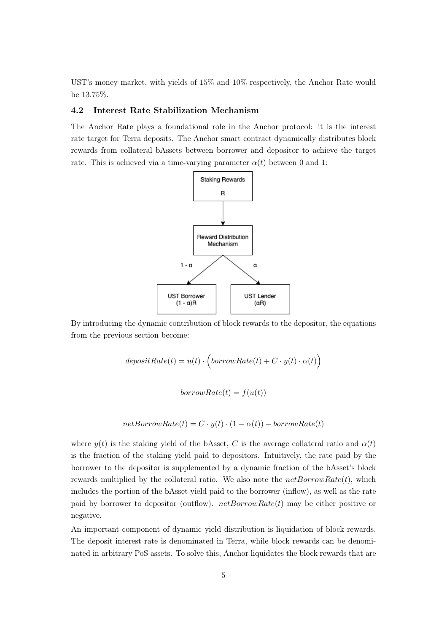UST's money market, with yields of 15% and 10% respectively, the Anchor Rate would be 13.75%.

#### 4.2 Interest Rate Stabilization Mechanism

The Anchor Rate plays a foundational role in the Anchor protocol: it is the interest rate target for Terra deposits. The Anchor smart contract dynamically distributes block rewards from collateral bAssets between borrower and depositor to achieve the target rate. This is achieved via a time-varying parameter  $\alpha(t)$  between 0 and 1:



By introducing the dynamic contribution of block rewards to the depositor, the equations from the previous section become:

$$
depositRate(t)=u(t)\cdot\Bigl( borrowRate(t)+C\cdot y(t)\cdot\alpha(t)\Bigr)
$$

 $borrowRate(t) = f(u(t))$ 

$$
netBorrowRate(t) = C \cdot y(t) \cdot (1 - \alpha(t)) - borrowRate(t)
$$

where  $y(t)$  is the staking yield of the bAsset, *C* is the average collateral ratio and  $\alpha(t)$ is the fraction of the staking yield paid to depositors. Intuitively, the rate paid by the borrower to the depositor is supplemented by a dynamic fraction of the bAsset's block rewards multiplied by the collateral ratio. We also note the *netBorrowRate*(*t*)*,* which includes the portion of the bAsset yield paid to the borrower (inflow), as well as the rate paid by borrower to depositor (outflow). *netBorrowRate*(*t*) may be either positive or negative.

An important component of dynamic yield distribution is liquidation of block rewards. The deposit interest rate is denominated in Terra, while block rewards can be denominated in arbitrary PoS assets. To solve this, Anchor liquidates the block rewards that are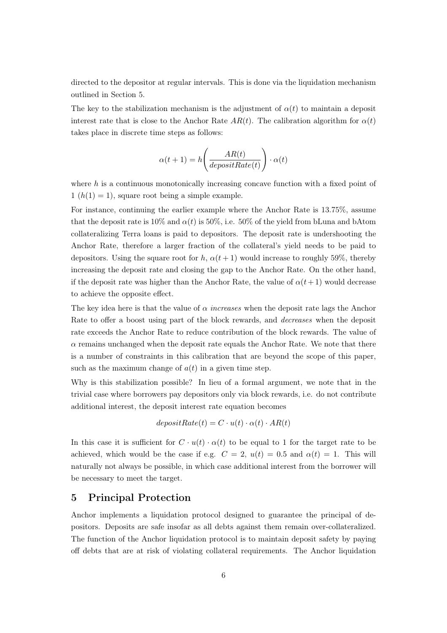directed to the depositor at regular intervals. This is done via the liquidation mechanism outlined in Section 5.

The key to the stabilization mechanism is the adjustment of  $\alpha(t)$  to maintain a deposit interest rate that is close to the Anchor Rate  $AR(t)$ . The calibration algorithm for  $\alpha(t)$ takes place in discrete time steps as follows:

$$
\alpha(t+1) = h\Bigg(\frac{AR(t)}{depositRate(t)}\Bigg)\cdot \alpha(t)
$$

where *h* is a continuous monotonically increasing concave function with a fixed point of  $1(h(1) = 1)$ , square root being a simple example.

For instance, continuing the earlier example where the Anchor Rate is 13.75%, assume that the deposit rate is  $10\%$  and  $\alpha(t)$  is 50%, i.e. 50% of the yield from bLuna and bAtom collateralizing Terra loans is paid to depositors. The deposit rate is undershooting the Anchor Rate, therefore a larger fraction of the collateral's yield needs to be paid to depositors. Using the square root for *h*,  $\alpha(t+1)$  would increase to roughly 59%, thereby increasing the deposit rate and closing the gap to the Anchor Rate. On the other hand, if the deposit rate was higher than the Anchor Rate, the value of  $\alpha(t+1)$  would decrease to achieve the opposite effect.

The key idea here is that the value of  $\alpha$  *increases* when the deposit rate lags the Anchor Rate to offer a boost using part of the block rewards, and *decreases* when the deposit rate exceeds the Anchor Rate to reduce contribution of the block rewards. The value of  $\alpha$  remains unchanged when the deposit rate equals the Anchor Rate. We note that there is a number of constraints in this calibration that are beyond the scope of this paper, such as the maximum change of  $a(t)$  in a given time step.

Why is this stabilization possible? In lieu of a formal argument, we note that in the trivial case where borrowers pay depositors only via block rewards, i.e. do not contribute additional interest, the deposit interest rate equation becomes

$$
depositRate(t) = C \cdot u(t) \cdot \alpha(t) \cdot AR(t)
$$

In this case it is sufficient for  $C \cdot u(t) \cdot \alpha(t)$  to be equal to 1 for the target rate to be achieved, which would be the case if e.g.  $C = 2$ ,  $u(t) = 0.5$  and  $\alpha(t) = 1$ . This will naturally not always be possible, in which case additional interest from the borrower will be necessary to meet the target.

### 5 Principal Protection

Anchor implements a liquidation protocol designed to guarantee the principal of depositors. Deposits are safe insofar as all debts against them remain over-collateralized. The function of the Anchor liquidation protocol is to maintain deposit safety by paying off debts that are at risk of violating collateral requirements. The Anchor liquidation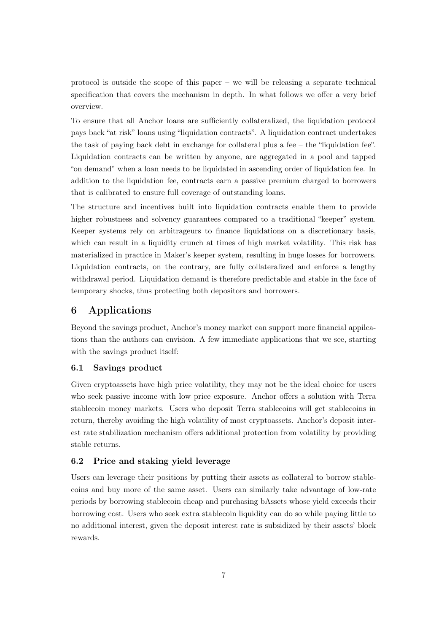protocol is outside the scope of this paper – we will be releasing a separate technical specification that covers the mechanism in depth. In what follows we offer a very brief overview.

To ensure that all Anchor loans are sufficiently collateralized, the liquidation protocol pays back "at risk" loans using "liquidation contracts". A liquidation contract undertakes the task of paying back debt in exchange for collateral plus a fee – the "liquidation fee". Liquidation contracts can be written by anyone, are aggregated in a pool and tapped "on demand" when a loan needs to be liquidated in ascending order of liquidation fee. In addition to the liquidation fee, contracts earn a passive premium charged to borrowers that is calibrated to ensure full coverage of outstanding loans.

The structure and incentives built into liquidation contracts enable them to provide higher robustness and solvency guarantees compared to a traditional "keeper" system. Keeper systems rely on arbitrageurs to finance liquidations on a discretionary basis, which can result in a liquidity crunch at times of high market volatility. This risk has materialized in practice in Maker's keeper system, resulting in huge losses for borrowers. Liquidation contracts, on the contrary, are fully collateralized and enforce a lengthy withdrawal period. Liquidation demand is therefore predictable and stable in the face of temporary shocks, thus protecting both depositors and borrowers.

# 6 Applications

Beyond the savings product, Anchor's money market can support more financial appilcations than the authors can envision. A few immediate applications that we see, starting with the savings product itself:

#### 6.1 Savings product

Given cryptoassets have high price volatility, they may not be the ideal choice for users who seek passive income with low price exposure. Anchor offers a solution with Terra stablecoin money markets. Users who deposit Terra stablecoins will get stablecoins in return, thereby avoiding the high volatility of most cryptoassets. Anchor's deposit interest rate stabilization mechanism offers additional protection from volatility by providing stable returns.

#### 6.2 Price and staking yield leverage

Users can leverage their positions by putting their assets as collateral to borrow stablecoins and buy more of the same asset. Users can similarly take advantage of low-rate periods by borrowing stablecoin cheap and purchasing bAssets whose yield exceeds their borrowing cost. Users who seek extra stablecoin liquidity can do so while paying little to no additional interest, given the deposit interest rate is subsidized by their assets' block rewards.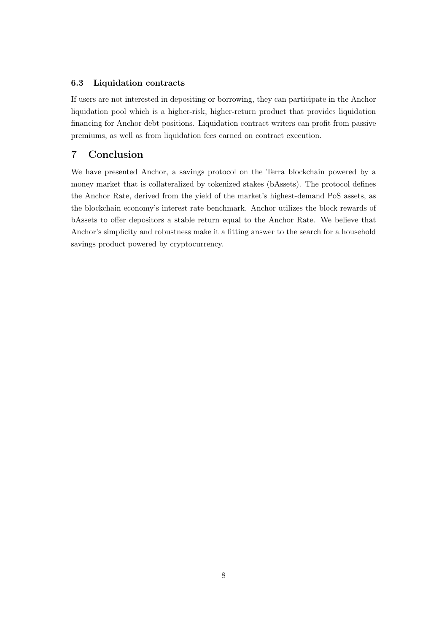#### 6.3 Liquidation contracts

If users are not interested in depositing or borrowing, they can participate in the Anchor liquidation pool which is a higher-risk, higher-return product that provides liquidation financing for Anchor debt positions. Liquidation contract writers can profit from passive premiums, as well as from liquidation fees earned on contract execution.

# 7 Conclusion

We have presented Anchor, a savings protocol on the Terra blockchain powered by a money market that is collateralized by tokenized stakes (bAssets). The protocol defines the Anchor Rate, derived from the yield of the market's highest-demand PoS assets, as the blockchain economy's interest rate benchmark. Anchor utilizes the block rewards of bAssets to offer depositors a stable return equal to the Anchor Rate. We believe that Anchor's simplicity and robustness make it a fitting answer to the search for a household savings product powered by cryptocurrency.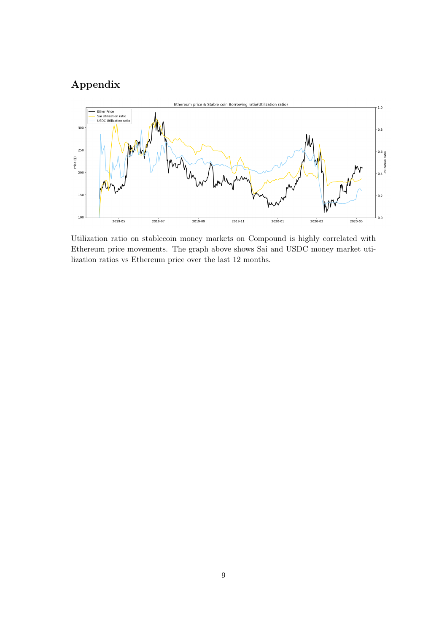# Appendix



Utilization ratio on stablecoin money markets on Compound is highly correlated with Ethereum price movements. The graph above shows Sai and USDC money market utilization ratios vs Ethereum price over the last 12 months.